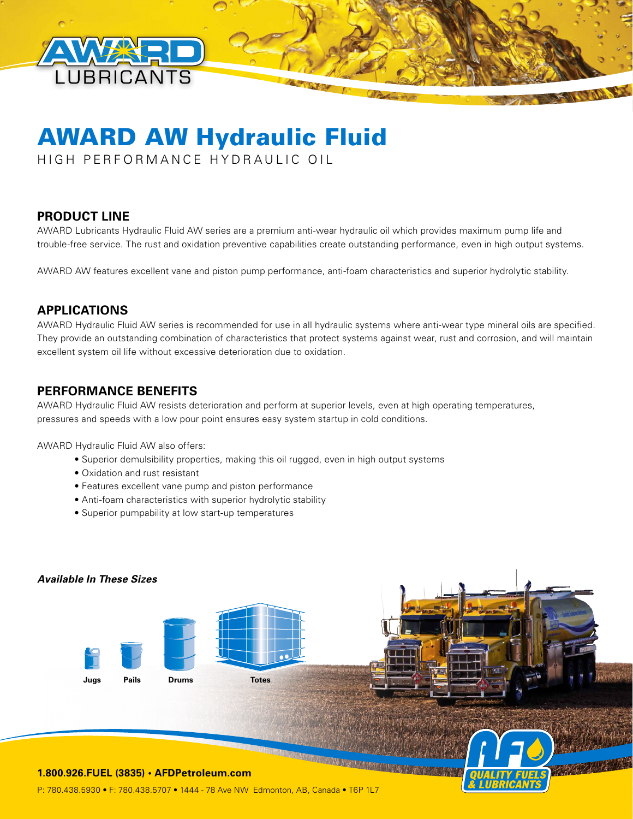

# AWARD AW Hydraulic Fluid

HIGH PERFORMANCE HYDRAULIC OIL

## **PRODUCT LINE**

AWARD Lubricants Hydraulic Fluid AW series are a premium anti-wear hydraulic oil which provides maximum pump life and trouble-free service. The rust and oxidation preventive capabilities create outstanding performance, even in high output systems.

AWARD AW features excellent vane and piston pump performance, anti-foam characteristics and superior hydrolytic stability.

#### **APPLICATIONS**

AWARD Hydraulic Fluid AW series is recommended for use in all hydraulic systems where anti-wear type mineral oils are specified. They provide an outstanding combination of characteristics that protect systems against wear, rust and corrosion, and will maintain excellent system oil life without excessive deterioration due to oxidation.

#### **PERFORMANCE BENEFITS**

AWARD Hydraulic Fluid AW resists deterioration and perform at superior levels, even at high operating temperatures, pressures and speeds with a low pour point ensures easy system startup in cold conditions.

AWARD Hydraulic Fluid AW also offers:

- Superior demulsibility properties, making this oil rugged, even in high output systems
- Oxidation and rust resistant
- Features excellent vane pump and piston performance
- Anti-foam characteristics with superior hydrolytic stability
- Superior pumpability at low start-up temperatures



P: 780.438.5930 • F: 780.438.5707 • 1444 - 78 Ave NW Edmonton, AB, Canada • T6P 1L7